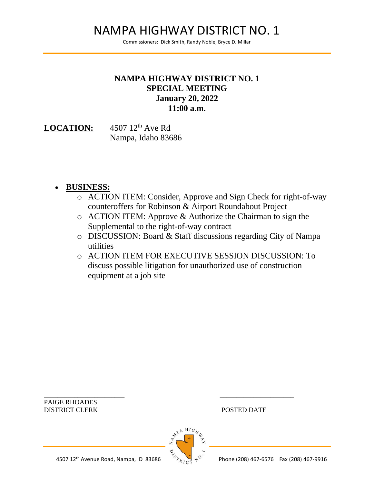## NAMPA HIGHWAY DISTRICT NO. 1

Commissioners: Dick Smith, Randy Noble, Bryce D. Millar

## **NAMPA HIGHWAY DISTRICT NO. 1 SPECIAL MEETING January 20, 2022 11:00 a.m.**

LOCATION: 4507 12<sup>th</sup> Ave Rd Nampa, Idaho 83686

- **BUSINESS:**
	- o ACTION ITEM: Consider, Approve and Sign Check for right-of-way counteroffers for Robinson & Airport Roundabout Project
	- o ACTION ITEM: Approve & Authorize the Chairman to sign the Supplemental to the right-of-way contract
	- o DISCUSSION: Board & Staff discussions regarding City of Nampa utilities
	- o ACTION ITEM FOR EXECUTIVE SESSION DISCUSSION: To discuss possible litigation for unauthorized use of construction equipment at a job site

PAIGE RHOADES DISTRICT CLERK POSTED DATE



\_\_\_\_\_\_\_\_\_\_\_\_\_\_\_\_\_\_\_\_\_\_\_\_ \_\_\_\_\_\_\_\_\_\_\_\_\_\_\_\_\_\_\_\_\_\_